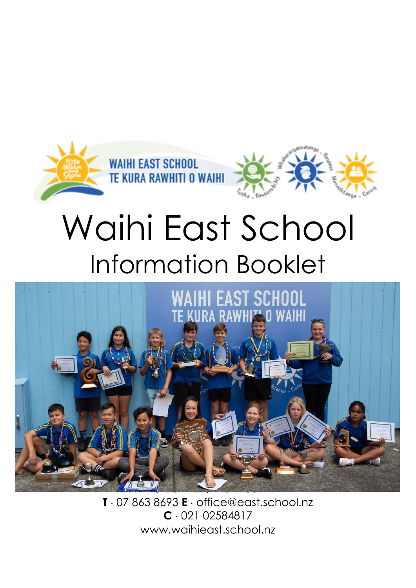

# Waihi East School Information Booklet



**T** 07 863 8693 **E** [office@east.school.nz](mailto:office@east.school.nz) **C** 021 02584817 www.waihieast.school.nz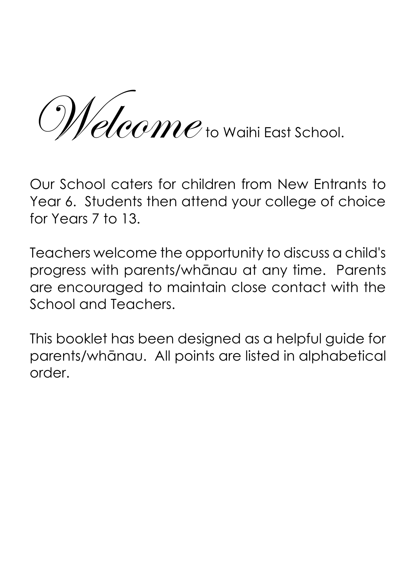Melcome to Waihi East School.

Our School caters for children from New Entrants to Year 6. Students then attend your college of choice for Years 7 to 13.

Teachers welcome the opportunity to discuss a child's progress with parents/whānau at any time. Parents are encouraged to maintain close contact with the School and Teachers.

This booklet has been designed as a helpful guide for parents/whānau. All points are listed in alphabetical order.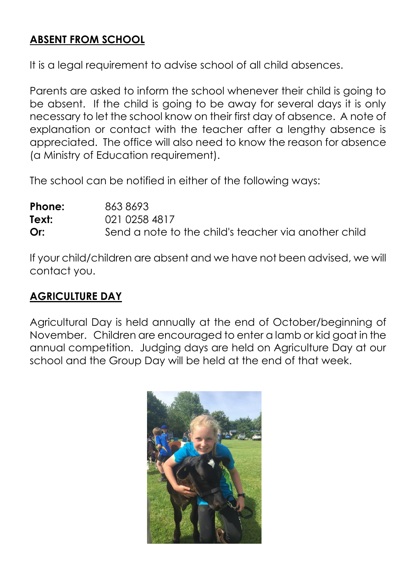## **ABSENT FROM SCHOOL**

It is a legal requirement to advise school of all child absences.

Parents are asked to inform the school whenever their child is going to be absent. If the child is going to be away for several days it is only necessary to let the school know on their first day of absence. A note of explanation or contact with the teacher after a lengthy absence is appreciated. The office will also need to know the reason for absence (a Ministry of Education requirement).

The school can be notified in either of the following ways:

| Phone: | 8638693                                              |
|--------|------------------------------------------------------|
| Text:  | 021 0258 4817                                        |
| Or:    | Send a note to the child's teacher via another child |

If your child/children are absent and we have not been advised, we will contact you.

# **AGRICULTURE DAY**

Agricultural Day is held annually at the end of October/beginning of November. Children are encouraged to enter a lamb or kid goat in the annual competition. Judging days are held on Agriculture Day at our school and the Group Day will be held at the end of that week.

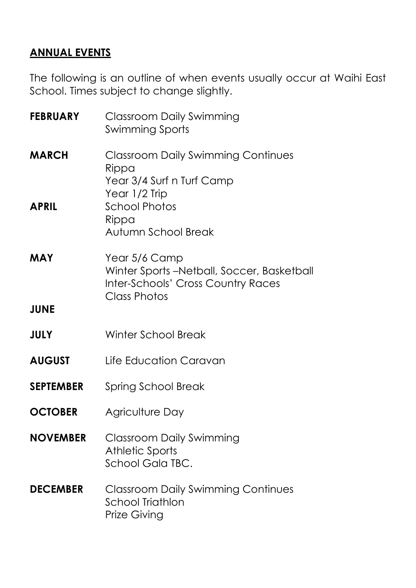# **ANNUAL EVENTS**

The following is an outline of when events usually occur at Waihi East School. Times subject to change slightly.

| <b>FEBRUARY</b>  | <b>Classroom Daily Swimming</b><br><b>Swimming Sports</b>                                               |  |
|------------------|---------------------------------------------------------------------------------------------------------|--|
| <b>MARCH</b>     | <b>Classroom Daily Swimming Continues</b><br>Rippa<br>Year 3/4 Surf n Turf Camp<br>Year 1/2 Trip        |  |
| <b>APRIL</b>     | <b>School Photos</b><br>Rippa<br>Autumn School Break                                                    |  |
| MAY              | Year 5/6 Camp<br>Winter Sports-Netball, Soccer, Basketball<br><b>Inter-Schools' Cross Country Races</b> |  |
| <b>JUNE</b>      | <b>Class Photos</b>                                                                                     |  |
| <b>JULY</b>      | <b>Winter School Break</b>                                                                              |  |
| <b>AUGUST</b>    | Life Education Caravan                                                                                  |  |
| <b>SEPTEMBER</b> | Spring School Break                                                                                     |  |
| <b>OCTOBER</b>   | Agriculture Day                                                                                         |  |
| <b>NOVEMBER</b>  | Classroom Daily Swimming<br><b>Athletic Sports</b><br>School Gala TBC.                                  |  |
| <b>DECEMBER</b>  | <b>Classroom Daily Swimming Continues</b><br>School Triathlon<br><b>Prize Giving</b>                    |  |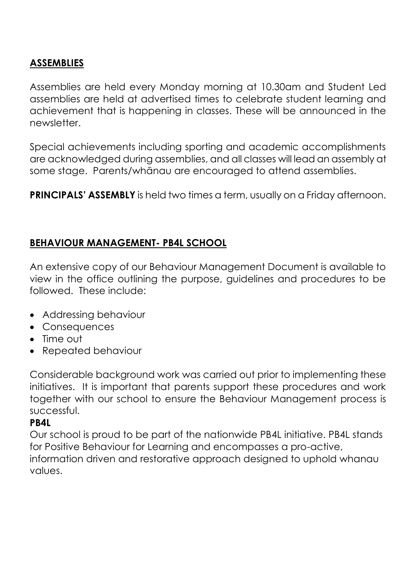## **ASSEMBLIES**

Assemblies are held every Monday morning at 10.30am and Student Led assemblies are held at advertised times to celebrate student learning and achievement that is happening in classes. These will be announced in the newsletter.

Special achievements including sporting and academic accomplishments are acknowledged during assemblies, and all classes will lead an assembly at some stage. Parents/whānau are encouraged to attend assemblies.

**PRINCIPALS' ASSEMBLY** is held two times a term, usually on a Friday afternoon.

## **BEHAVIOUR MANAGEMENT- PB4L SCHOOL**

An extensive copy of our Behaviour Management Document is available to view in the office outlining the purpose, guidelines and procedures to be followed. These include:

- Addressing behaviour
- Consequences
- Time out
- Repeated behaviour

Considerable background work was carried out prior to implementing these initiatives. It is important that parents support these procedures and work together with our school to ensure the Behaviour Management process is successful.

#### **PB4L**

Our school is proud to be part of the nationwide PB4L initiative. PB4L stands for Positive Behaviour for Learning and encompasses a pro-active, information driven and restorative approach designed to uphold whanau values.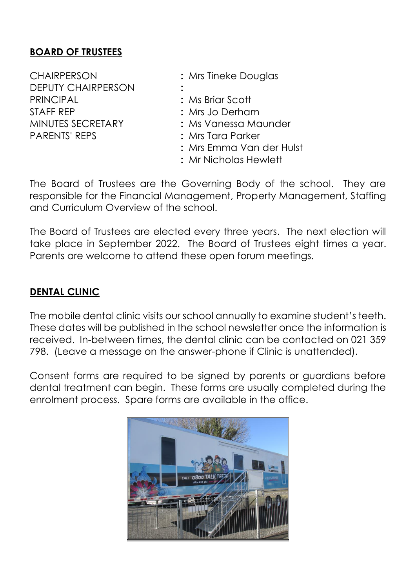## **BOARD OF TRUSTEES**

CHAIRPERSON **:** Mrs Tineke Douglas DEPUTY CHAIRPERSON **:** PRINCIPAL **:** Ms Briar Scott STAFF REP **:** Mrs Jo Derham PARENTS' REPS **:** Mrs Tara Parker

MINUTES SECRETARY **:** Ms Vanessa Maunder **:** Mrs Emma Van der Hulst

**:** Mr Nicholas Hewlett

The Board of Trustees are the Governing Body of the school. They are responsible for the Financial Management, Property Management, Staffing and Curriculum Overview of the school.

The Board of Trustees are elected every three years. The next election will take place in September 2022. The Board of Trustees eight times a year. Parents are welcome to attend these open forum meetings.

## **DENTAL CLINIC**

The mobile dental clinic visits our school annually to examine student's teeth. These dates will be published in the school newsletter once the information is received. In-between times, the dental clinic can be contacted on 021 359 798. (Leave a message on the answer-phone if Clinic is unattended).

Consent forms are required to be signed by parents or guardians before dental treatment can begin. These forms are usually completed during the enrolment process. Spare forms are available in the office.

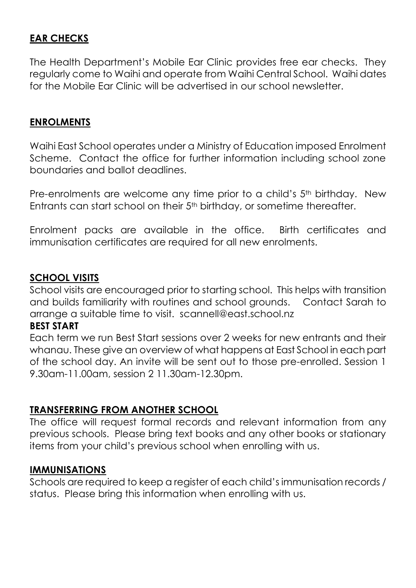## **EAR CHECKS**

The Health Department's Mobile Ear Clinic provides free ear checks. They regularly come to Waihi and operate from Waihi Central School. Waihi dates for the Mobile Ear Clinic will be advertised in our school newsletter.

#### **ENROLMENTS**

Waihi East School operates under a Ministry of Education imposed Enrolment Scheme. Contact the office for further information including school zone boundaries and ballot deadlines.

Pre-enrolments are welcome any time prior to a child's 5<sup>th</sup> birthday. New Entrants can start school on their 5th birthday, or sometime thereafter.

Enrolment packs are available in the office. Birth certificates and immunisation certificates are required for all new enrolments.

#### **SCHOOL VISITS**

School visits are encouraged prior to starting school. This helps with transition and builds familiarity with routines and school grounds. Contact Sarah to arrange a suitable time to visit. scannell@east.school.nz

#### **BEST START**

Each term we run Best Start sessions over 2 weeks for new entrants and their whanau. These give an overview of what happens at East School in each part of the school day. An invite will be sent out to those pre-enrolled. Session 1 9.30am-11.00am, session 2 11.30am-12.30pm.

#### **TRANSFERRING FROM ANOTHER SCHOOL**

The office will request formal records and relevant information from any previous schools. Please bring text books and any other books or stationary items from your child's previous school when enrolling with us.

#### **IMMUNISATIONS**

Schools are required to keep a register of each child's immunisation records / status. Please bring this information when enrolling with us.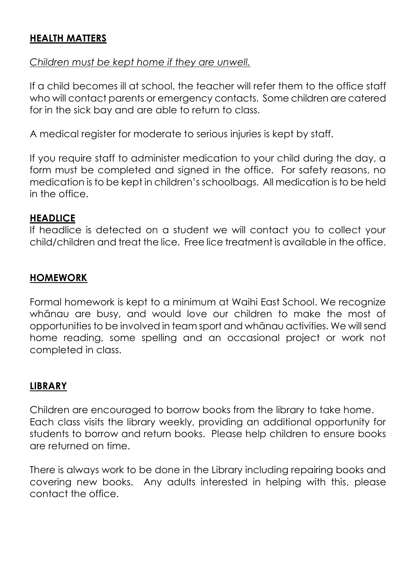## **HEALTH MATTERS**

#### *Children must be kept home if they are unwell.*

If a child becomes ill at school, the teacher will refer them to the office staff who will contact parents or emergency contacts. Some children are catered for in the sick bay and are able to return to class.

A medical register for moderate to serious injuries is kept by staff.

If you require staff to administer medication to your child during the day, a form must be completed and signed in the office. For safety reasons, no medication is to be kept in children's schoolbags. All medication is to be held in the office.

#### **HEADLICE**

If headlice is detected on a student we will contact you to collect your child/children and treat the lice. Free lice treatment is available in the office.

### **HOMEWORK**

Formal homework is kept to a minimum at Waihi East School. We recognize whānau are busy, and would love our children to make the most of opportunities to be involved in team sport and whānau activities. We will send home reading, some spelling and an occasional project or work not completed in class.

### **LIBRARY**

Children are encouraged to borrow books from the library to take home. Each class visits the library weekly, providing an additional opportunity for students to borrow and return books. Please help children to ensure books are returned on time.

There is always work to be done in the Library including repairing books and covering new books. Any adults interested in helping with this, please contact the office.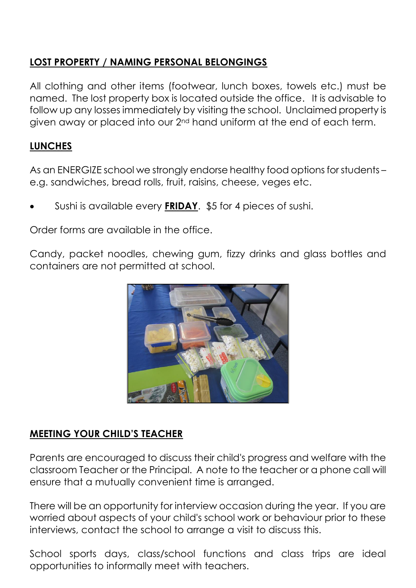## **LOST PROPERTY / NAMING PERSONAL BELONGINGS**

All clothing and other items (footwear, lunch boxes, towels etc.) must be named. The lost property box is located outside the office. It is advisable to follow up any losses immediately by visiting the school. Unclaimed property is given away or placed into our 2nd hand uniform at the end of each term.

## **LUNCHES**

As an ENERGIZE school we strongly endorse healthy food options for students – e.g. sandwiches, bread rolls, fruit, raisins, cheese, veges etc.

• Sushi is available every **FRIDAY**. \$5 for 4 pieces of sushi.

Order forms are available in the office.

Candy, packet noodles, chewing gum, fizzy drinks and glass bottles and containers are not permitted at school.



## **MEETING YOUR CHILD'S TEACHER**

Parents are encouraged to discuss their child's progress and welfare with the classroom Teacher or the Principal. A note to the teacher or a phone call will ensure that a mutually convenient time is arranged.

There will be an opportunity for interview occasion during the year. If you are worried about aspects of your child's school work or behaviour prior to these interviews, contact the school to arrange a visit to discuss this.

School sports days, class/school functions and class trips are ideal opportunities to informally meet with teachers.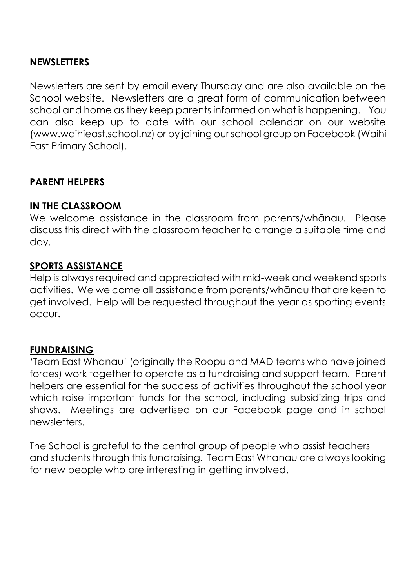#### **NEWSLETTERS**

Newsletters are sent by email every Thursday and are also available on the School website. Newsletters are a great form of communication between school and home as they keep parents informed on what is happening. You can also keep up to date with our school calendar on our website (www.waihieast.school.nz) or by joining our school group on Facebook (Waihi East Primary School).

#### **PARENT HELPERS**

#### **IN THE CLASSROOM**

We welcome assistance in the classroom from parents/whānau. Please discuss this direct with the classroom teacher to arrange a suitable time and day.

#### **SPORTS ASSISTANCE**

Help is always required and appreciated with mid-week and weekend sports activities. We welcome all assistance from parents/whānau that are keen to get involved. Help will be requested throughout the year as sporting events occur.

#### **FUNDRAISING**

'Team East Whanau' (originally the Roopu and MAD teams who have joined forces) work together to operate as a fundraising and support team. Parent helpers are essential for the success of activities throughout the school year which raise important funds for the school, including subsidizing trips and shows. Meetings are advertised on our Facebook page and in school newsletters.

The School is grateful to the central group of people who assist teachers and students through this fundraising. Team East Whanau are always looking for new people who are interesting in getting involved.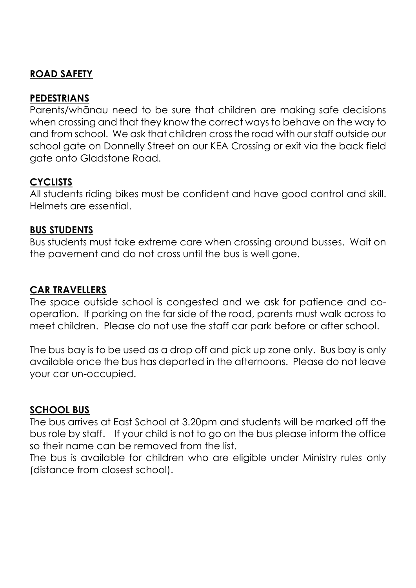## **ROAD SAFETY**

## **PEDESTRIANS**

Parents/whānau need to be sure that children are making safe decisions when crossing and that they know the correct ways to behave on the way to and from school. We ask that children cross the road with our staff outside our school gate on Donnelly Street on our KEA Crossing or exit via the back field gate onto Gladstone Road.

## **CYCLISTS**

All students riding bikes must be confident and have good control and skill. Helmets are essential.

#### **BUS STUDENTS**

Bus students must take extreme care when crossing around busses. Wait on the pavement and do not cross until the bus is well gone.

#### **CAR TRAVELLERS**

The space outside school is congested and we ask for patience and cooperation. If parking on the far side of the road, parents must walk across to meet children. Please do not use the staff car park before or after school.

The bus bay is to be used as a drop off and pick up zone only. Bus bay is only available once the bus has departed in the afternoons. Please do not leave your car un-occupied.

#### **SCHOOL BUS**

The bus arrives at East School at 3.20pm and students will be marked off the bus role by staff. If your child is not to go on the bus please inform the office so their name can be removed from the list.

The bus is available for children who are eligible under Ministry rules only (distance from closest school).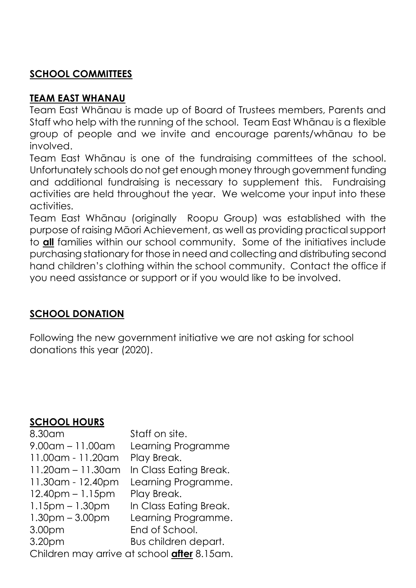## **SCHOOL COMMITTEES**

## **TEAM EAST WHANAU**

Team East Whānau is made up of Board of Trustees members, Parents and Staff who help with the running of the school. Team East Whānau is a flexible group of people and we invite and encourage parents/whānau to be involved.

Team East Whānau is one of the fundraising committees of the school. Unfortunately schools do not get enough money through government funding and additional fundraising is necessary to supplement this. Fundraising activities are held throughout the year. We welcome your input into these activities.

Team East Whānau (originally Roopu Group) was established with the purpose of raising Māori Achievement, as well as providing practical support to **all** families within our school community. Some of the initiatives include purchasing stationary for those in need and collecting and distributing second hand children's clothing within the school community. Contact the office if you need assistance or support or if you would like to be involved.

## **SCHOOL DONATION**

Following the new government initiative we are not asking for school donations this year (2020).

## **SCHOOL HOURS**

| 8.30am                                      | Staff on site.         |  |  |
|---------------------------------------------|------------------------|--|--|
| $9.00$ am – 11.00am                         | Learning Programme     |  |  |
| 11.00am - 11.20am                           | Play Break.            |  |  |
| $11.20$ am – 11.30am                        | In Class Eating Break. |  |  |
| 11.30 am - 12.40 pm                         | Learning Programme.    |  |  |
| $12.40$ pm – 1.15pm                         | Play Break.            |  |  |
| $1.15$ pm $-1.30$ pm                        | In Class Eating Break. |  |  |
| $1.30pm - 3.00pm$                           | Learning Programme.    |  |  |
| 3.00 <sub>pm</sub>                          | End of School.         |  |  |
| 3.20pm                                      | Bus children depart.   |  |  |
| Children may arrive at school after 8.15am. |                        |  |  |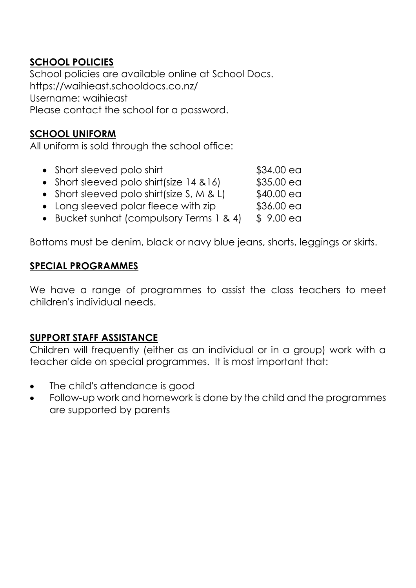## **SCHOOL POLICIES**

School policies are available online at School Docs. https://waihieast.schooldocs.co.nz/ Username: waihieast Please contact the school for a password.

## **SCHOOL UNIFORM**

All uniform is sold through the school office:

| • Short sleeved polo shirt | \$34.00 ea |
|----------------------------|------------|
|                            |            |

- Short sleeved polo shirt(size  $14, 8, 16$ ) \$35.00 ea
- Short sleeved polo shirt(size  $S, M, \& L$ )  $$40.00$  ea
- Long sleeved polar fleece with zip \$36.00 ea
- Bucket sunhat (compulsory Terms 1 & 4) \$ 9.00 ea

Bottoms must be denim, black or navy blue jeans, shorts, leggings or skirts.

### **SPECIAL PROGRAMMES**

We have a range of programmes to assist the class teachers to meet children's individual needs.

### **SUPPORT STAFF ASSISTANCE**

Children will frequently (either as an individual or in a group) work with a teacher aide on special programmes. It is most important that:

- The child's attendance is good
- Follow-up work and homework is done by the child and the programmes are supported by parents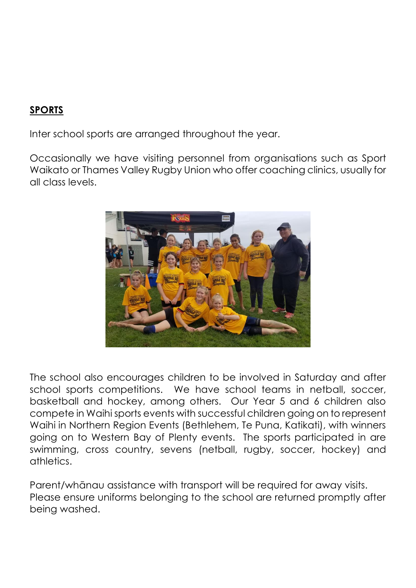## **SPORTS**

Inter school sports are arranged throughout the year.

Occasionally we have visiting personnel from organisations such as Sport Waikato or Thames Valley Rugby Union who offer coaching clinics, usually for all class levels.



The school also encourages children to be involved in Saturday and after school sports competitions. We have school teams in netball, soccer, basketball and hockey, among others. Our Year 5 and 6 children also compete in Waihi sports events with successful children going on to represent Waihi in Northern Region Events (Bethlehem, Te Puna, Katikati), with winners going on to Western Bay of Plenty events. The sports participated in are swimming, cross country, sevens (netball, rugby, soccer, hockey) and athletics.

Parent/whānau assistance with transport will be required for away visits. Please ensure uniforms belonging to the school are returned promptly after being washed.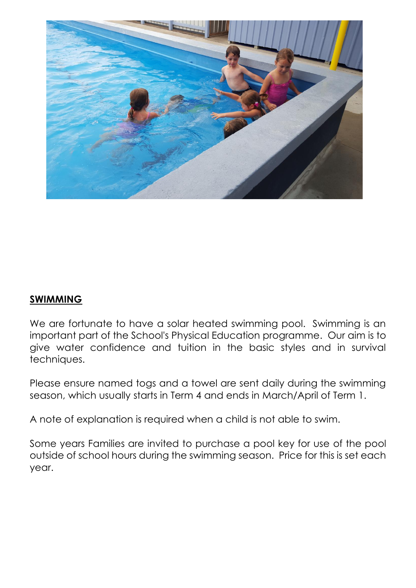

## **SWIMMING**

We are fortunate to have a solar heated swimming pool. Swimming is an important part of the School's Physical Education programme. Our aim is to give water confidence and tuition in the basic styles and in survival techniques.

Please ensure named togs and a towel are sent daily during the swimming season, which usually starts in Term 4 and ends in March/April of Term 1.

A note of explanation is required when a child is not able to swim.

Some years Families are invited to purchase a pool key for use of the pool outside of school hours during the swimming season. Price for this is set each year.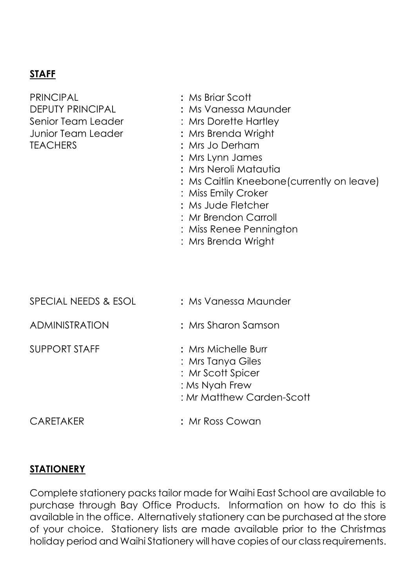## **STAFF**

| <b>PRINCIPAL</b>        |
|-------------------------|
| <b>DEPUTY PRINCIPAL</b> |
| Senior Team Leader      |
| Junior Team Leader      |
| <b>TEACHERS</b>         |

- PRINCIPAL **:** Ms Briar Scott
- $:$  Ms Vanessa Maunder
- : Mrs Dorette Hartley
- : Mrs Brenda Wright
- : Mrs Jo Derham
- **:** Mrs Lynn James
- **:** Mrs Neroli Matautia
- **:** Ms Caitlin Kneebone(currently on leave)
- : Miss Emily Croker
- **:** Ms Jude Fletcher
- : Mr Brendon Carroll
- : Miss Renee Pennington
- : Mrs Brenda Wright

| SPECIAL NEEDS & ESOL  | : Ms Vanessa Maunder                                                                                         |
|-----------------------|--------------------------------------------------------------------------------------------------------------|
| <b>ADMINISTRATION</b> | : Mrs Sharon Samson                                                                                          |
| <b>SUPPORT STAFF</b>  | : Mrs Michelle Burr<br>: Mrs Tanya Giles<br>: Mr Scott Spicer<br>: Ms Nyah Frew<br>: Mr Matthew Carden-Scott |
| <b>CARETAKER</b>      | : Mr Ross Cowan                                                                                              |

#### **STATIONERY**

Complete stationery packs tailor made for Waihi East School are available to purchase through Bay Office Products. Information on how to do this is available in the office. Alternatively stationery can be purchased at the store of your choice. Stationery lists are made available prior to the Christmas holiday period and Waihi Stationery will have copies of our class requirements.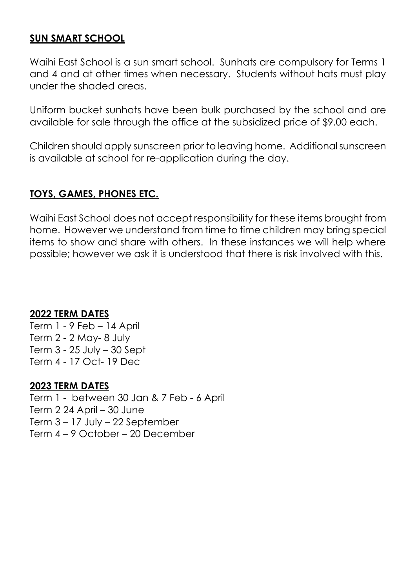#### **SUN SMART SCHOOL**

Waihi East School is a sun smart school. Sunhats are compulsory for Terms 1 and 4 and at other times when necessary. Students without hats must play under the shaded areas.

Uniform bucket sunhats have been bulk purchased by the school and are available for sale through the office at the subsidized price of \$9.00 each.

Children should apply sunscreen prior to leaving home. Additional sunscreen is available at school for re-application during the day.

### **TOYS, GAMES, PHONES ETC.**

Waihi East School does not accept responsibility for these items brought from home. However we understand from time to time children may bring special items to show and share with others. In these instances we will help where possible; however we ask it is understood that there is risk involved with this.

#### **2022 TERM DATES**

Term 1 - 9 Feb – 14 April Term 2 - 2 May- 8 July Term 3 - 25 July – 30 Sept Term 4 - 17 Oct- 19 Dec

#### **2023 TERM DATES**

Term 1 - between 30 Jan & 7 Feb - 6 April Term 2 24 April – 30 June Term 3 – 17 July – 22 September Term 4 – 9 October – 20 December